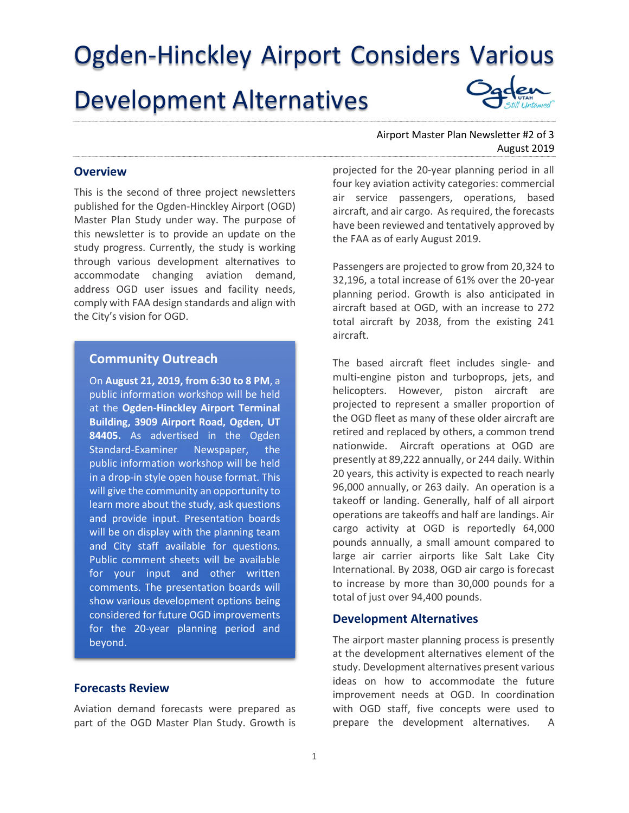Ogden-Hinckley Airport Considers Various Development Alternatives

#### **Overview**

This is the second of three project newsletters published for the Ogden-Hinckley Airport (OGD) Master Plan Study under way. The purpose of this newsletter is to provide an update on the study progress. Currently, the study is working through various development alternatives to accommodate changing aviation demand, address OGD user issues and facility needs, comply with FAA design standards and align with the City's vision for OGD.

# Community Outreach

On August 21, 2019, from 6:30 to 8 PM, a public information workshop will be held at the Ogden-Hinckley Airport Terminal Building, 3909 Airport Road, Ogden, UT 84405. As advertised in the Ogden Standard-Examiner Newspaper, the public information workshop will be held in a drop-in style open house format. This will give the community an opportunity to learn more about the study, ask questions and provide input. Presentation boards will be on display with the planning team and City staff available for questions. Public comment sheets will be available for your input and other written comments. The presentation boards will show various development options being considered for future OGD improvements for the 20-year planning period and beyond.

## Forecasts Review

Aviation demand forecasts were prepared as part of the OGD Master Plan Study. Growth is

## Airport Master Plan Newsletter #2 of 3 August 2019

projected for the 20-year planning period in all four key aviation activity categories: commercial air service passengers, operations, based aircraft, and air cargo. As required, the forecasts have been reviewed and tentatively approved by the FAA as of early August 2019.

Passengers are projected to grow from 20,324 to 32,196, a total increase of 61% over the 20-year planning period. Growth is also anticipated in aircraft based at OGD, with an increase to 272 total aircraft by 2038, from the existing 241 aircraft.

The based aircraft fleet includes single- and multi-engine piston and turboprops, jets, and helicopters. However, piston aircraft are projected to represent a smaller proportion of the OGD fleet as many of these older aircraft are retired and replaced by others, a common trend nationwide. Aircraft operations at OGD are presently at 89,222 annually, or 244 daily. Within 20 years, this activity is expected to reach nearly 96,000 annually, or 263 daily. An operation is a takeoff or landing. Generally, half of all airport operations are takeoffs and half are landings. Air cargo activity at OGD is reportedly 64,000 pounds annually, a small amount compared to large air carrier airports like Salt Lake City International. By 2038, OGD air cargo is forecast to increase by more than 30,000 pounds for a total of just over 94,400 pounds.

#### Development Alternatives

The airport master planning process is presently at the development alternatives element of the study. Development alternatives present various ideas on how to accommodate the future improvement needs at OGD. In coordination with OGD staff, five concepts were used to prepare the development alternatives. A